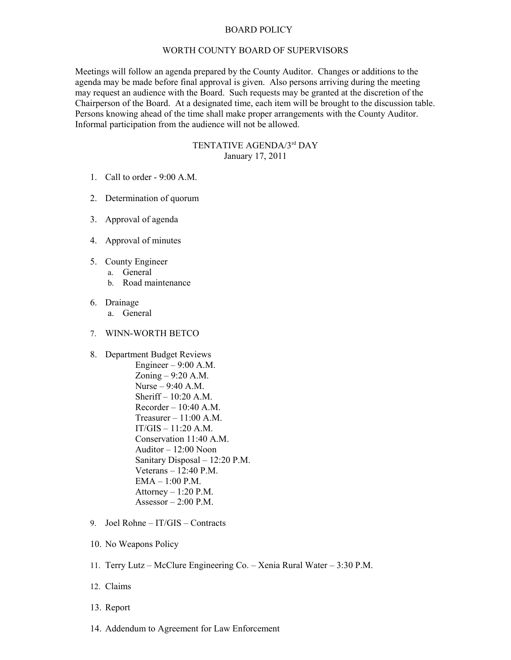## BOARD POLICY

## WORTH COUNTY BOARD OF SUPERVISORS

Meetings will follow an agenda prepared by the County Auditor. Changes or additions to the agenda may be made before final approval is given. Also persons arriving during the meeting may request an audience with the Board. Such requests may be granted at the discretion of the Chairperson of the Board. At a designated time, each item will be brought to the discussion table. Persons knowing ahead of the time shall make proper arrangements with the County Auditor. Informal participation from the audience will not be allowed.

## TENTATIVE AGENDA/3rd DAY January 17, 2011

- 1. Call to order 9:00 A.M.
- 2. Determination of quorum
- 3. Approval of agenda
- 4. Approval of minutes
- 5. County Engineer
	- a. General
		- b. Road maintenance
- 6. Drainage
	- a. General
- 7. WINN-WORTH BETCO
- 8. Department Budget Reviews

Engineer – 9:00 A.M. Zoning – 9:20 A.M. Nurse – 9:40 A.M. Sheriff  $-10:20$  A.M.  $Recorder - 10:40 A.M.$ Treasurer – 11:00 A.M.  $IT/GIS - 11:20 A.M.$ Conservation 11:40 A.M. Auditor – 12:00 Noon Sanitary Disposal – 12:20 P.M. Veterans – 12:40 P.M. EMA – 1:00 P.M. Attorney  $-1:20$  P.M. Assessor  $-2:00$  P.M.

- 9. Joel Rohne IT/GIS Contracts
- 10. No Weapons Policy
- 11. Terry Lutz McClure Engineering Co. Xenia Rural Water 3:30 P.M.
- 12. Claims
- 13. Report
- 14. Addendum to Agreement for Law Enforcement